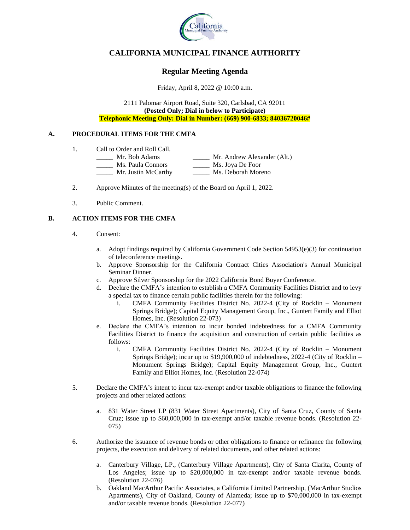

# **CALIFORNIA MUNICIPAL FINANCE AUTHORITY**

# **Regular Meeting Agenda**

Friday, April 8, 2022 @ 10:00 a.m.

2111 Palomar Airport Road, Suite 320, Carlsbad, CA 92011 **(Posted Only; Dial in below to Participate) Telephonic Meeting Only: Dial in Number: (669) 900-6833; 84036720046#**

#### **A. PROCEDURAL ITEMS FOR THE CMFA**

- 1. Call to Order and Roll Call.
	- \_\_\_\_\_ Mr. Bob Adams \_\_\_\_\_ Mr. Andrew Alexander (Alt.)
	- \_\_\_\_\_ Ms. Paula Connors \_\_\_\_\_ Ms. Joya De Foor
		- \_\_\_\_\_ Mr. Justin McCarthy \_\_\_\_\_ Ms. Deborah Moreno
- 2. Approve Minutes of the meeting(s) of the Board on April 1, 2022.
- 3. Public Comment.

### **B. ACTION ITEMS FOR THE CMFA**

- 4. Consent:
	- a. Adopt findings required by California Government Code Section  $54953(e)(3)$  for continuation of teleconference meetings.
	- b. Approve Sponsorship for the California Contract Cities Association's Annual Municipal Seminar Dinner.
	- c. Approve Silver Sponsorship for the 2022 California Bond Buyer Conference.
	- d. Declare the CMFA's intention to establish a CMFA Community Facilities District and to levy a special tax to finance certain public facilities therein for the following:
		- i. CMFA Community Facilities District No. 2022-4 (City of Rocklin Monument Springs Bridge); Capital Equity Management Group, Inc., Guntert Family and Elliot Homes, Inc. (Resolution 22-073)
	- e. Declare the CMFA's intention to incur bonded indebtedness for a CMFA Community Facilities District to finance the acquisition and construction of certain public facilities as follows:
		- i. CMFA Community Facilities District No. 2022-4 (City of Rocklin Monument Springs Bridge); incur up to \$19,900,000 of indebtedness, 2022-4 (City of Rocklin – Monument Springs Bridge); Capital Equity Management Group, Inc., Guntert Family and Elliot Homes, Inc. (Resolution 22-074)
- 5. Declare the CMFA's intent to incur tax-exempt and/or taxable obligations to finance the following projects and other related actions:
	- a. 831 Water Street LP (831 Water Street Apartments), City of Santa Cruz, County of Santa Cruz; issue up to \$60,000,000 in tax-exempt and/or taxable revenue bonds. (Resolution 22- 075)
- 6. Authorize the issuance of revenue bonds or other obligations to finance or refinance the following projects, the execution and delivery of related documents, and other related actions:
	- a. Canterbury Village, LP., (Canterbury Village Apartments), City of Santa Clarita, County of Los Angeles; issue up to \$20,000,000 in tax-exempt and/or taxable revenue bonds. (Resolution 22-076)
	- b. Oakland MacArthur Pacific Associates, a California Limited Partnership, (MacArthur Studios Apartments), City of Oakland, County of Alameda; issue up to \$70,000,000 in tax-exempt and/or taxable revenue bonds. (Resolution 22-077)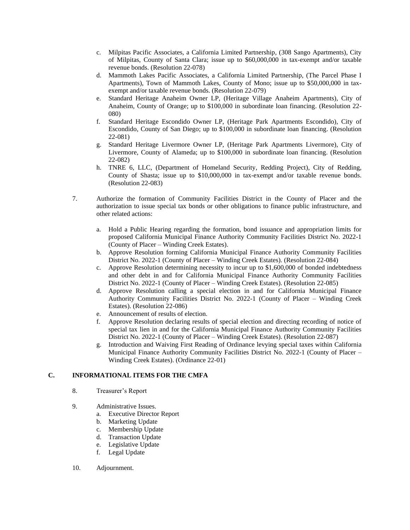- c. Milpitas Pacific Associates, a California Limited Partnership, (308 Sango Apartments), City of Milpitas, County of Santa Clara; issue up to \$60,000,000 in tax-exempt and/or taxable revenue bonds. (Resolution 22-078)
- d. Mammoth Lakes Pacific Associates, a California Limited Partnership, (The Parcel Phase I Apartments), Town of Mammoth Lakes, County of Mono; issue up to \$50,000,000 in taxexempt and/or taxable revenue bonds. (Resolution 22-079)
- e. Standard Heritage Anaheim Owner LP, (Heritage Village Anaheim Apartments), City of Anaheim, County of Orange; up to \$100,000 in subordinate loan financing. (Resolution 22- 080)
- f. Standard Heritage Escondido Owner LP, (Heritage Park Apartments Escondido), City of Escondido, County of San Diego; up to \$100,000 in subordinate loan financing. (Resolution 22-081)
- g. Standard Heritage Livermore Owner LP, (Heritage Park Apartments Livermore), City of Livermore, County of Alameda; up to \$100,000 in subordinate loan financing. (Resolution 22-082)
- h. TNRE 6, LLC, (Department of Homeland Security, Redding Project), City of Redding, County of Shasta; issue up to \$10,000,000 in tax-exempt and/or taxable revenue bonds. (Resolution 22-083)
- 7. Authorize the formation of Community Facilities District in the County of Placer and the authorization to issue special tax bonds or other obligations to finance public infrastructure, and other related actions:
	- a. Hold a Public Hearing regarding the formation, bond issuance and appropriation limits for proposed California Municipal Finance Authority Community Facilities District No. 2022-1 (County of Placer – Winding Creek Estates).
	- b. Approve Resolution forming California Municipal Finance Authority Community Facilities District No. 2022-1 (County of Placer – Winding Creek Estates). (Resolution 22-084)
	- c. Approve Resolution determining necessity to incur up to \$1,600,000 of bonded indebtedness and other debt in and for California Municipal Finance Authority Community Facilities District No. 2022-1 (County of Placer – Winding Creek Estates). (Resolution 22-085)
	- d. Approve Resolution calling a special election in and for California Municipal Finance Authority Community Facilities District No. 2022-1 (County of Placer – Winding Creek Estates). (Resolution 22-086)
	- e. Announcement of results of election.
	- f. Approve Resolution declaring results of special election and directing recording of notice of special tax lien in and for the California Municipal Finance Authority Community Facilities District No. 2022-1 (County of Placer – Winding Creek Estates). (Resolution 22-087)
	- g. Introduction and Waiving First Reading of Ordinance levying special taxes within California Municipal Finance Authority Community Facilities District No. 2022-1 (County of Placer – Winding Creek Estates). (Ordinance 22-01)

### **C. INFORMATIONAL ITEMS FOR THE CMFA**

- 8. Treasurer's Report
- 9. Administrative Issues.
	- a. Executive Director Report
	- b. Marketing Update
	- c. Membership Update
	- d. Transaction Update
	- e. Legislative Update
	- f. Legal Update
- 10. Adjournment.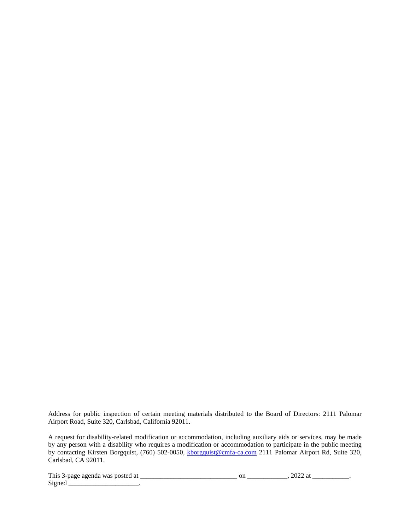Address for public inspection of certain meeting materials distributed to the Board of Directors: 2111 Palomar Airport Road, Suite 320, Carlsbad, California 92011.

A request for disability-related modification or accommodation, including auxiliary aids or services, may be made by any person with a disability who requires a modification or accommodation to participate in the public meeting by contacting Kirsten Borgquist, (760) 502-0050, [kborgquist@cmfa-ca.com](mailto:kborgquist@cmfa-ca.com) 2111 Palomar Airport Rd, Suite 320, Carlsbad, CA 92011.

This 3-page agenda was posted at \_\_\_\_\_\_\_\_\_\_\_\_\_\_\_\_\_\_\_\_\_\_\_\_\_\_\_\_\_ on \_\_\_\_\_\_\_\_\_\_\_\_, 2022 at \_\_\_\_\_\_\_\_\_\_\_.

 $Signed$  \_\_\_\_\_\_\_\_\_\_\_\_\_\_\_\_\_\_\_\_\_\_.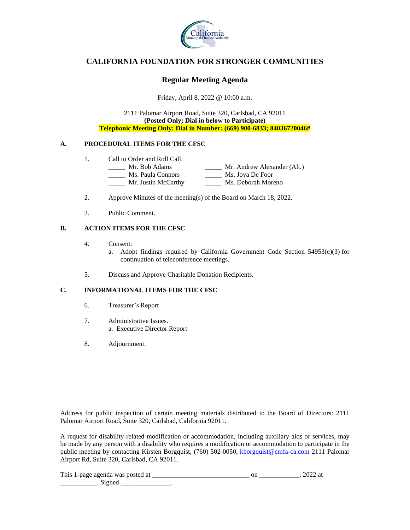

## **CALIFORNIA FOUNDATION FOR STRONGER COMMUNITIES**

### **Regular Meeting Agenda**

Friday, April 8, 2022 @ 10:00 a.m.

2111 Palomar Airport Road, Suite 320, Carlsbad, CA 92011 **(Posted Only; Dial in below to Participate) Telephonic Meeting Only: Dial in Number: (669) 900-6833; 84036720046#**

### **A. PROCEDURAL ITEMS FOR THE CFSC**

- 1. Call to Order and Roll Call.<br>
<u>\_\_\_\_\_\_</u> Mr. Bob Adams
	- \_\_\_\_ Mr. Andrew Alexander (Alt.)<br>\_\_\_\_ Ms. Joya De Foor \_\_\_\_\_ Ms. Paula Connors \_\_\_\_\_ Mr. Justin McCarthy \_\_\_\_\_ Ms. Deborah Moreno
- 2. Approve Minutes of the meeting(s) of the Board on March 18, 2022.
- 3. Public Comment.

### **B. ACTION ITEMS FOR THE CFSC**

- 4. Consent:
	- a. Adopt findings required by California Government Code Section  $54953(e)(3)$  for continuation of teleconference meetings.
- 5. Discuss and Approve Charitable Donation Recipients.

#### **C. INFORMATIONAL ITEMS FOR THE CFSC**

- 6. Treasurer's Report
- 7. Administrative Issues. a. Executive Director Report
- 8. Adjournment.

Address for public inspection of certain meeting materials distributed to the Board of Directors: 2111 Palomar Airport Road, Suite 320, Carlsbad, California 92011.

A request for disability-related modification or accommodation, including auxiliary aids or services, may be made by any person with a disability who requires a modification or accommodation to participate in the public meeting by contacting Kirsten Borgquist, (760) 502-0050, [kborgquist@cmfa-ca.com](mailto:kborgquist@cmfa-ca.com) 2111 Palomar Airport Rd, Suite 320, Carlsbad, CA 92011.

| This 1-page agenda was posted |  |  |
|-------------------------------|--|--|
|                               |  |  |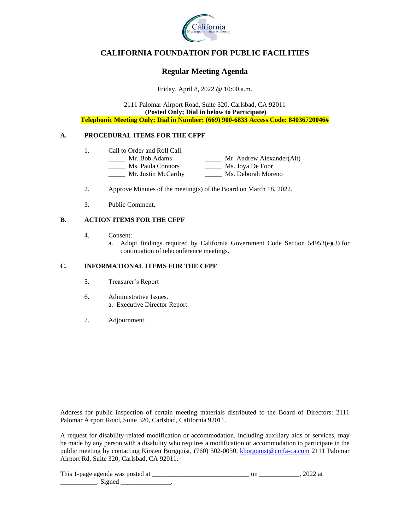

# **CALIFORNIA FOUNDATION FOR PUBLIC FACILITIES**

# **Regular Meeting Agenda**

Friday, April 8, 2022 @ 10:00 a.m.

2111 Palomar Airport Road, Suite 320, Carlsbad, CA 92011 **(Posted Only; Dial in below to Participate) Telephonic Meeting Only: Dial in Number: (669) 900-6833 Access Code: 84036720046#**

### **A. PROCEDURAL ITEMS FOR THE CFPF**

- 1. Call to Order and Roll Call.
	- \_\_\_\_\_ Mr. Bob Adams \_\_\_\_\_ Mr. Andrew Alexander(Alt) \_\_\_\_\_ Ms. Paula Connors \_\_\_\_\_ Ms. Joya De Foor Ms. Paula Connors<br>
	Mr. Justin McCarthy Ms. Deborah Moreno
		-
- 2. Approve Minutes of the meeting(s) of the Board on March 18, 2022.
- 3. Public Comment.

### **B. ACTION ITEMS FOR THE CFPF**

- 4. Consent:
	- a. Adopt findings required by California Government Code Section 54953(e)(3) for continuation of teleconference meetings.

### **C. INFORMATIONAL ITEMS FOR THE CFPF**

- 5. Treasurer's Report
- 6. Administrative Issues. a. Executive Director Report
- 7. Adjournment.

Address for public inspection of certain meeting materials distributed to the Board of Directors: 2111 Palomar Airport Road, Suite 320, Carlsbad, California 92011.

A request for disability-related modification or accommodation, including auxiliary aids or services, may be made by any person with a disability who requires a modification or accommodation to participate in the public meeting by contacting Kirsten Borgquist, (760) 502-0050, [kborgquist@cmfa-ca.com](mailto:kborgquist@cmfa-ca.com) 2111 Palomar Airport Rd, Suite 320, Carlsbad, CA 92011.

This 1-page agenda was posted at \_\_\_\_\_\_\_\_\_\_\_\_\_\_\_\_\_\_\_\_\_\_\_\_\_\_\_\_\_ on \_\_\_\_\_\_\_\_\_\_\_\_, 2022 at \_\_\_\_\_\_\_\_\_\_\_\_\_\_\_\_. Signed \_\_\_\_\_\_\_\_\_\_\_\_\_\_\_\_\_\_\_.